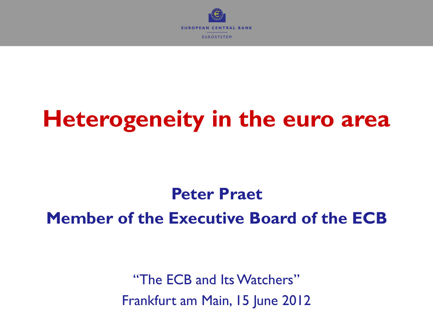

# **Heterogeneity in the euro area**

**Peter Praet Member of the Executive Board of the ECB**

> "The ECB and Its Watchers" Frankfurt am Main, 15 June 2012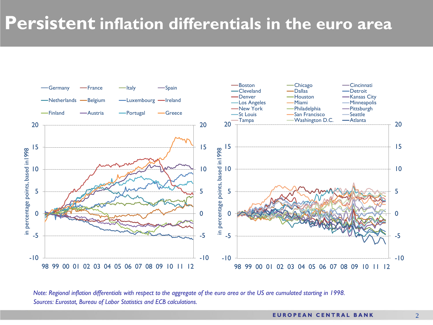### **Persistent inflation differentials in the euro area**



*Sources: Eurostat, Bureau of Labor Statistics and ECB calculations. Note: Regional inflation differentials with respect to the aggregate of the euro area or the US are cumulated starting in 1998.*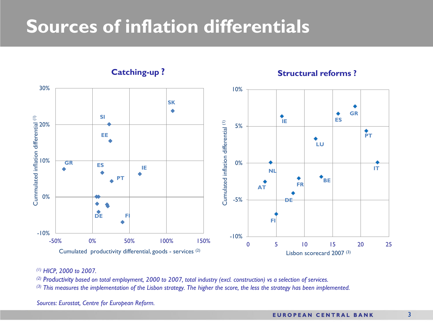## **Sources of inflation differentials**



#### *(1) HICP, 2000 to 2007.*

*(2) Productivity based on total employment, 2000 to 2007, total industry (excl. construction) vs a selection of services.*

*(3) This measures the implementation of the Lisbon strategy. The higher the score, the less the strategy has been implemented.*

*Sources: Eurostat, Centre for European Reform.*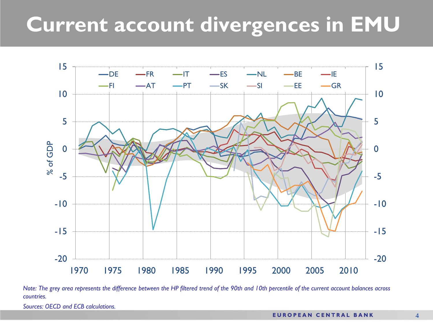# **Current account divergences in EMU**



*Note: The grey area represents the difference between the HP filtered trend of the 90th and 10th percentile of the current account balances across countries.*

*Sources: OECD and ECB calculations.*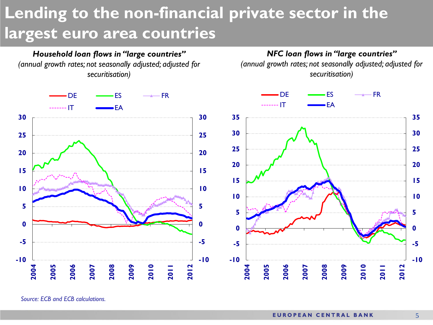## **Lending to the non-financial private sector in the largest euro area countries**



*NFC loan flows in "large countries" (annual growth rates; not seasonally adjusted; adjusted for securitisation)*



*Source: ECB and ECB calculations.*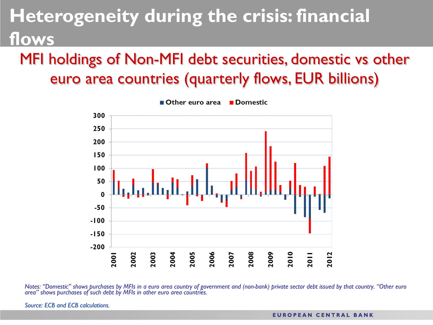# **Heterogeneity during the crisis: financial OWS**

### MFI holdings of Non-MFI debt securities, domestic vs other euro area countries (quarterly flows, EUR billions)



Notes: "Domestic" shows purchases by MFIs in a euro area country of government and (non-bank) private sector debt issued by that country. "Other euro area" shows purchases of such debt by MFIs in other euro area countries.

*Source: ECB and ECB calculations.*

#### **EUROPEAN CENTRAL BANK**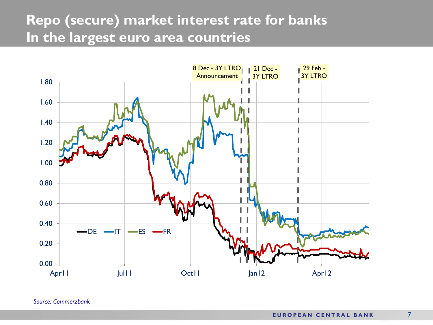### **Repo (secure) market interest rate for banks In the largest euro area countries**



*Source: Commerzbank*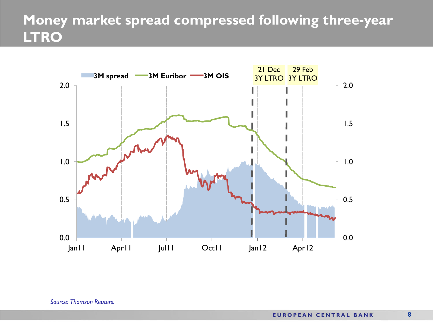### **Money market spread compressed following three-year LTRO**

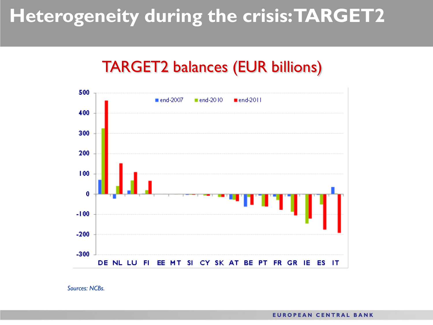# **Heterogeneity during the crisis: TARGET2**

### TARGET2 balances (EUR billions)



*Sources: NCBs.*